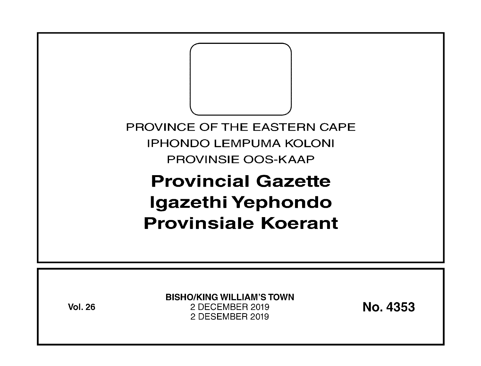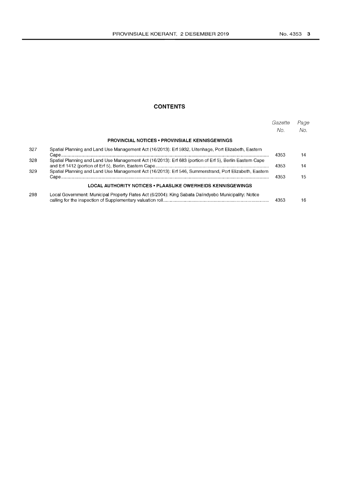#### **CONTENTS**

|     |                                                                                                         | Gazette<br>No. | Page<br>No. |
|-----|---------------------------------------------------------------------------------------------------------|----------------|-------------|
|     | <b>PROVINCIAL NOTICES • PROVINSIALE KENNISGEWINGS</b>                                                   |                |             |
| 327 | Spatial Planning and Land Use Management Act (16/2013): Erf 5932, Uitenhage, Port Elizabeth, Eastern    | 4353           | 14          |
| 328 | Spatial Planning and Land Use Management Act (16/2013): Erf 683 (portion of Erf 5), Berlin Eastern Cape | 4353           | 14          |
| 329 | Spatial Planning and Land Use Management Act (16/2013): Erf 546, Summerstrand, Port Elizabeth, Eastern  | 4353           | 15          |
|     | LOCAL AUTHORITY NOTICES • PLAASLIKE OWERHEIDS KENNISGEWINGS                                             |                |             |
| 298 | Local Government: Municipal Property Rates Act (6/2004): King Sabata Dalindyebo Municipality: Notice    | 4353           | 16          |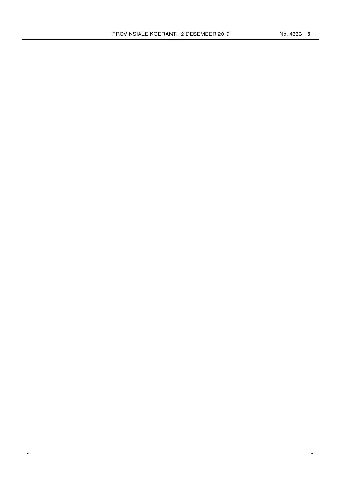$\ddot{\phantom{a}}$ 

 $\tilde{\phantom{a}}$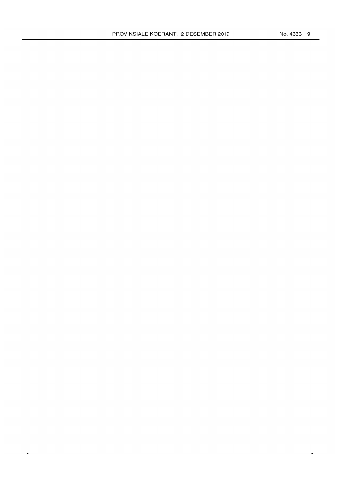$\ddot{\phantom{a}}$ 

 $\tilde{\phantom{a}}$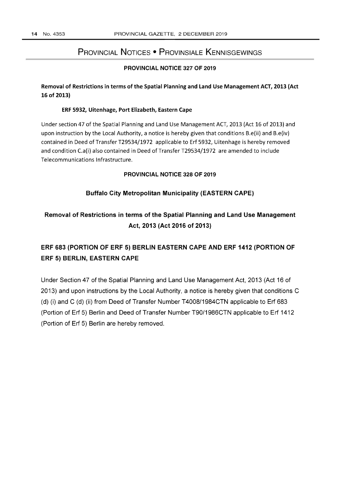# PROVINCIAL NOTICES • PROVINSIALE KENNISGEWINGS

### PROVINCIAL NOTICE 327 OF 2019

## Removal of Restrictions in terms of the Spatial Planning and Land Use Management ACT, 2013 (Act 16 of 2013)

#### ERF 5932, Uitenhage, Port Elizabeth, Eastern Cape

Under section 47 of the Spatial Planning and Land Use Management ACT, 2013 (Act 16 of 2013) and upon instruction by the Local Authority, a notice is hereby given that conditions B.e(ii) and B.e(iv) contained in Deed of Transfer T29534/1972 applicable to Erf 5932, Uitenhage is hereby removed and condition C.a(i) also contained in Deed of Transfer T29534/1972 are amended to include Telecommunications Infrastructure.

### PROVINCIAL NOTICE 328 OF 2019

## Buffalo City Metropolitan Municipality (EASTERN CAPE)

## Removal of Restrictions in terms of the Spatial Planning and Land Use Management Act, 2013 (Act 2016 of 2013)

# ERF 683 (PORTION OF ERF 5) BERLIN EASTERN CAPE AND ERF 1412 (PORTION OF ERF 5) BERLIN, EASTERN CAPE

Under Section 47 of the Spatial Planning and Land Use Management Act, 2013 (Act 16 of 2013) and upon instructions by the Local Authority, a notice is hereby given that conditions C (d) (i) and C (d) (ii) from Deed of Transfer Number T4008/1984CTN applicable to Erf 683 (Portion of Erf 5) Berlin and Deed of Transfer Number T90/1986CTN applicable to Erf 1412 (Portion of Erf 5) Berlin are hereby removed.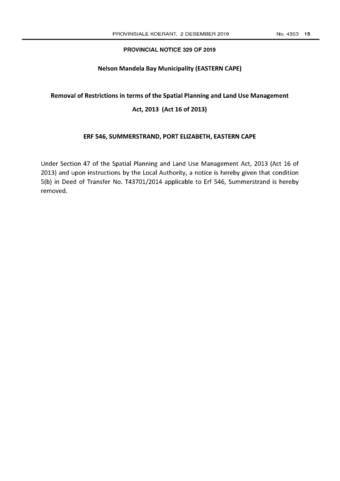### PROVINCIAL NOTICE 329 OF 2019

### Nelson Mandela Bay Municipality (EASTERN CAPE)

# Removal of Restrictions in terms of the Spatial Planning and Land Use Management Act, 2013 (Act 16 of 2013)

### ERF 546, SUMMERSTRAND, PORT ELIZABETH, EASTERN CAPE

Under Section 47 of the Spatial Planning and Land Use Management Act, 2013 (Act 16 of 2013) and upon instructions by the Local Authority, a notice is hereby given that condition 5{b) in Deed of Transfer No. T43701/2014 applicable to Erf 546, Summerstrand is hereby removed.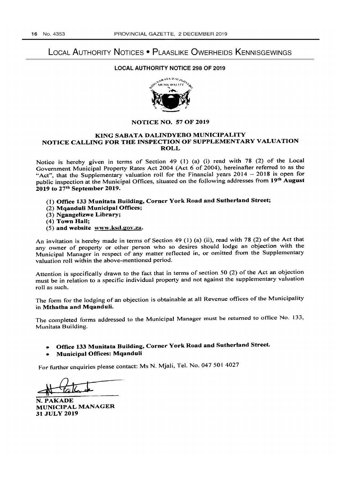## LOCAL AUTHORITY NOTICES • PLAASLIKE OWERHEIDS KENNISGEWINGS

#### LOCAL AUTHORITY NOTICE 298 OF 2019



#### KING SABATA DALINDYEBO MUNICIPALITY NOTICE CALLING FOR THE INSPECTION OF SUPPLEMENTARY VALUATION ROLL

Notice is hereby given in terms of Section 49 (1) (a) (i) read with 78 (2) of the Local Government Municipal Property Rates Act 2004 (Act 6 of 2004), hereinafter referred to as the "Act", that the Supplementary valuation roll for the Financial years 2014 - 2018 is open for public inspection at the Municipal Offices, situated on the following addresses from 19th August  $2019$  to  $27<sup>th</sup>$  September 2019.

- (1) Office 133 Munitata Building, Corner York Road and Sutherland Street;
- (2) Mqanduli Municipal Offices;
- (3) Ngangelizwe Library;
- (4) Town Hall;
- (5) and website www.ksd.gov.za.

An invitation is hereby made in terms of Section 49 (1) (a) (ii), read with 78 (2) of the Act that any owner of property or other person who so desires should lodge an objection with the Municipal Manager in respect of any matter reflected in, or omitted from the Supplementary valuation roll within the above-mentioned period.

Attention is specifically drawn to the fact that in terms of section 50 (2) of the Act an objection must be in relation to a specific individual property and not against the supplementary valuation roll as such.

The form for the lodging of an objection is obtainable at all Revenue offices of the Municipality in Mthatha and Mqanduli.

The completed forms addressed to the Municipal Manager must be returned to office No. 133, Munitata Building.

• Office 133 Munitata Building, Corner York Road and Sutherland Street.

#### • Municipal Offices: Mqanduli

For further enquiries please contact: Ms N. Mjali, Tel. No. 047 501 4027

N.PAKADE MUNICIPAL MANAGER 31 JULY 2019